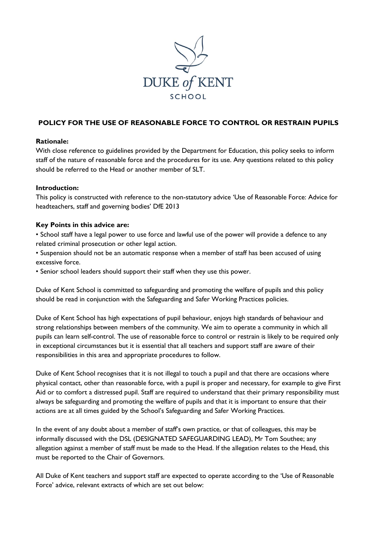

# **POLICY FOR THE USE OF REASONABLE FORCE TO CONTROL OR RESTRAIN PUPILS**

### **Rationale:**

With close reference to guidelines provided by the Department for Education, this policy seeks to inform staff of the nature of reasonable force and the procedures for its use. Any questions related to this policy should be referred to the Head or another member of SLT.

### **Introduction:**

This policy is constructed with reference to the non-statutory advice 'Use of Reasonable Force: Advice for headteachers, staff and governing bodies' DfE 2013

### **Key Points in this advice are:**

• School staff have a legal power to use force and lawful use of the power will provide a defence to any related criminal prosecution or other legal action.

• Suspension should not be an automatic response when a member of staff has been accused of using excessive force.

• Senior school leaders should support their staff when they use this power.

Duke of Kent School is committed to safeguarding and promoting the welfare of pupils and this policy should be read in conjunction with the Safeguarding and Safer Working Practices policies.

Duke of Kent School has high expectations of pupil behaviour, enjoys high standards of behaviour and strong relationships between members of the community. We aim to operate a community in which all pupils can learn self-control. The use of reasonable force to control or restrain is likely to be required only in exceptional circumstances but it is essential that all teachers and support staff are aware of their responsibilities in this area and appropriate procedures to follow.

Duke of Kent School recognises that it is not illegal to touch a pupil and that there are occasions where physical contact, other than reasonable force, with a pupil is proper and necessary, for example to give First Aid or to comfort a distressed pupil. Staff are required to understand that their primary responsibility must always be safeguarding and promoting the welfare of pupils and that it is important to ensure that their actions are at all times guided by the School's Safeguarding and Safer Working Practices.

In the event of any doubt about a member of staff's own practice, or that of colleagues, this may be informally discussed with the DSL (DESIGNATED SAFEGUARDING LEAD), Mr Tom Southee; any allegation against a member of staff must be made to the Head. If the allegation relates to the Head, this must be reported to the Chair of Governors.

All Duke of Kent teachers and support staff are expected to operate according to the 'Use of Reasonable Force' advice, relevant extracts of which are set out below: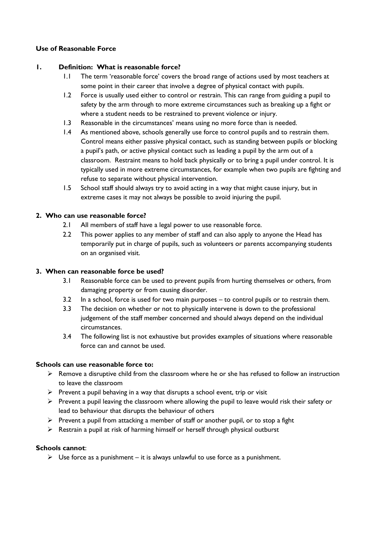### **Use of Reasonable Force**

### **1. Definition: What is reasonable force?**

- 1.1 The term 'reasonable force' covers the broad range of actions used by most teachers at some point in their career that involve a degree of physical contact with pupils.
- 1.2 Force is usually used either to control or restrain. This can range from guiding a pupil to safety by the arm through to more extreme circumstances such as breaking up a fight or where a student needs to be restrained to prevent violence or injury.
- 1.3 Reasonable in the circumstances' means using no more force than is needed.
- 1.4 As mentioned above, schools generally use force to control pupils and to restrain them. Control means either passive physical contact, such as standing between pupils or blocking a pupil's path, or active physical contact such as leading a pupil by the arm out of a classroom. Restraint means to hold back physically or to bring a pupil under control. It is typically used in more extreme circumstances, for example when two pupils are fighting and refuse to separate without physical intervention.
- 1.5 School staff should always try to avoid acting in a way that might cause injury, but in extreme cases it may not always be possible to avoid injuring the pupil.

### **2. Who can use reasonable force?**

- 2.1 All members of staff have a legal power to use reasonable force.
- 2.2 This power applies to any member of staff and can also apply to anyone the Head has temporarily put in charge of pupils, such as volunteers or parents accompanying students on an organised visit.

### **3. When can reasonable force be used?**

- 3.1 Reasonable force can be used to prevent pupils from hurting themselves or others, from damaging property or from causing disorder.
- 3.2 In a school, force is used for two main purposes to control pupils or to restrain them.
- 3.3 The decision on whether or not to physically intervene is down to the professional judgement of the staff member concerned and should always depend on the individual circumstances.
- 3.4 The following list is not exhaustive but provides examples of situations where reasonable force can and cannot be used.

#### **Schools can use reasonable force to:**

- $\triangleright$  Remove a disruptive child from the classroom where he or she has refused to follow an instruction to leave the classroom
- $\triangleright$  Prevent a pupil behaving in a way that disrupts a school event, trip or visit
- $\triangleright$  Prevent a pupil leaving the classroom where allowing the pupil to leave would risk their safety or lead to behaviour that disrupts the behaviour of others
- $\triangleright$  Prevent a pupil from attacking a member of staff or another pupil, or to stop a fight
- $\triangleright$  Restrain a pupil at risk of harming himself or herself through physical outburst

### **Schools cannot**:

 $\triangleright$  Use force as a punishment – it is always unlawful to use force as a punishment.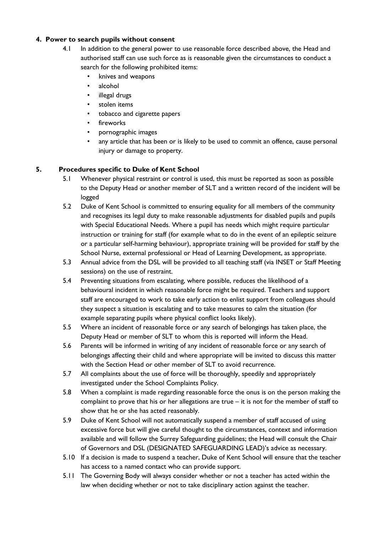### **4. Power to search pupils without consent**

- 4.1 In addition to the general power to use reasonable force described above, the Head and authorised staff can use such force as is reasonable given the circumstances to conduct a search for the following prohibited items:
	- knives and weapons
	- alcohol
	- illegal drugs
	- stolen items
	- tobacco and cigarette papers
	- fireworks
	- pornographic images
	- any article that has been or is likely to be used to commit an offence, cause personal injury or damage to property.

## **5. Procedures specific to Duke of Kent School**

- 5.1 Whenever physical restraint or control is used, this must be reported as soon as possible to the Deputy Head or another member of SLT and a written record of the incident will be logged
- 5.2 Duke of Kent School is committed to ensuring equality for all members of the community and recognises its legal duty to make reasonable adjustments for disabled pupils and pupils with Special Educational Needs. Where a pupil has needs which might require particular instruction or training for staff (for example what to do in the event of an epileptic seizure or a particular self-harming behaviour), appropriate training will be provided for staff by the School Nurse, external professional or Head of Learning Development, as appropriate.
- 5.3 Annual advice from the DSL will be provided to all teaching staff (via INSET or Staff Meeting sessions) on the use of restraint.
- 5.4 Preventing situations from escalating, where possible, reduces the likelihood of a behavioural incident in which reasonable force might be required. Teachers and support staff are encouraged to work to take early action to enlist support from colleagues should they suspect a situation is escalating and to take measures to calm the situation (for example separating pupils where physical conflict looks likely).
- 5.5 Where an incident of reasonable force or any search of belongings has taken place, the Deputy Head or member of SLT to whom this is reported will inform the Head.
- 5.6 Parents will be informed in writing of any incident of reasonable force or any search of belongings affecting their child and where appropriate will be invited to discuss this matter with the Section Head or other member of SLT to avoid recurrence.
- 5.7 All complaints about the use of force will be thoroughly, speedily and appropriately investigated under the School Complaints Policy.
- 5.8 When a complaint is made regarding reasonable force the onus is on the person making the complaint to prove that his or her allegations are true – it is not for the member of staff to show that he or she has acted reasonably.
- 5.9 Duke of Kent School will not automatically suspend a member of staff accused of using excessive force but will give careful thought to the circumstances, context and information available and will follow the Surrey Safeguarding guidelines; the Head will consult the Chair of Governors and DSL (DESIGNATED SAFEGUARDING LEAD)'s advice as necessary.
- 5.10 If a decision is made to suspend a teacher, Duke of Kent School will ensure that the teacher has access to a named contact who can provide support.
- 5.11 The Governing Body will always consider whether or not a teacher has acted within the law when deciding whether or not to take disciplinary action against the teacher.